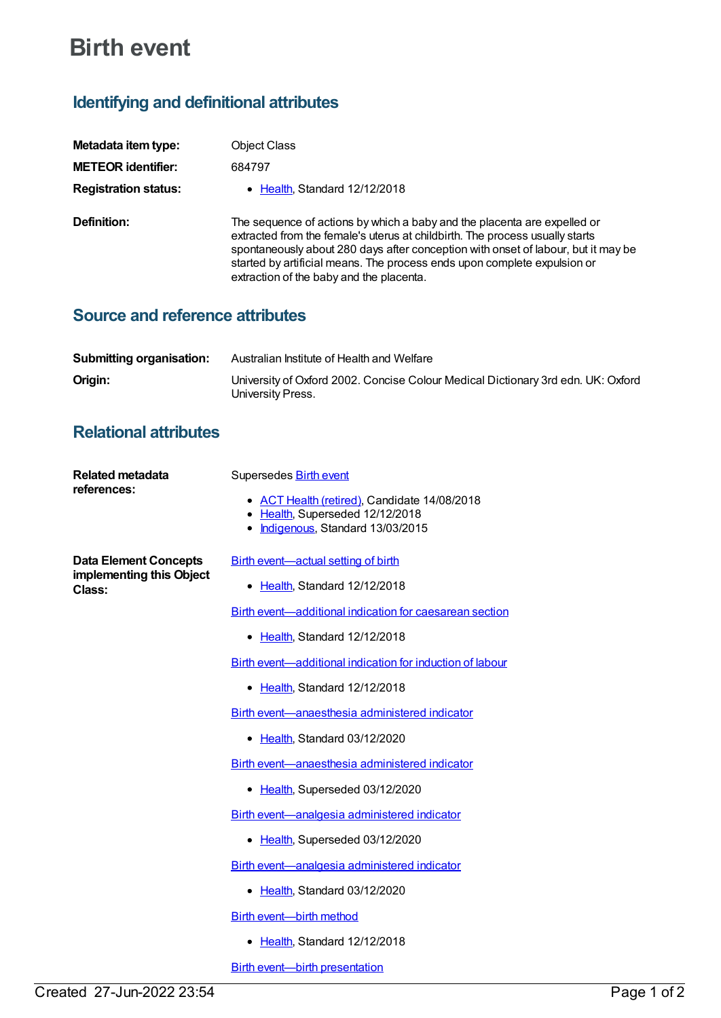## **Birth event**

## **Identifying and definitional attributes**

| Metadata item type:         | Object Class                                                                                                                                                                                                                                                                                                                                                          |
|-----------------------------|-----------------------------------------------------------------------------------------------------------------------------------------------------------------------------------------------------------------------------------------------------------------------------------------------------------------------------------------------------------------------|
| <b>METEOR identifier:</b>   | 684797                                                                                                                                                                                                                                                                                                                                                                |
| <b>Registration status:</b> | $\bullet$ Health Standard 12/12/2018                                                                                                                                                                                                                                                                                                                                  |
| Definition:                 | The sequence of actions by which a baby and the placenta are expelled or<br>extracted from the female's uterus at childbirth. The process usually starts<br>spontaneously about 280 days after conception with onset of labour, but it may be<br>started by artificial means. The process ends upon complete expulsion or<br>extraction of the baby and the placenta. |

## **Source and reference attributes**

| <b>Submitting organisation:</b> | Australian Institute of Health and Welfare                                                            |
|---------------------------------|-------------------------------------------------------------------------------------------------------|
| Origin:                         | University of Oxford 2002. Concise Colour Medical Dictionary 3rd edn. UK: Oxford<br>University Press. |

## **Relational attributes**

| Related metadata<br>references:                                    | Supersedes <b>Birth event</b>                                                   |
|--------------------------------------------------------------------|---------------------------------------------------------------------------------|
|                                                                    | • ACT Health (retired), Candidate 14/08/2018<br>• Health, Superseded 12/12/2018 |
|                                                                    | Indigenous, Standard 13/03/2015                                                 |
| <b>Data Element Concepts</b><br>implementing this Object<br>Class: | Birth event-actual setting of birth                                             |
|                                                                    | • Health, Standard 12/12/2018                                                   |
|                                                                    | Birth event—additional indication for caesarean section                         |
|                                                                    | • Health, Standard 12/12/2018                                                   |
|                                                                    | Birth event—additional indication for induction of labour                       |
|                                                                    | • Health, Standard 12/12/2018                                                   |
|                                                                    | Birth event—anaesthesia administered indicator                                  |
|                                                                    | • Health, Standard 03/12/2020                                                   |
|                                                                    | Birth event—anaesthesia administered indicator                                  |
|                                                                    | • Health, Superseded 03/12/2020                                                 |
|                                                                    | Birth event—analgesia administered indicator                                    |
|                                                                    | • Health, Superseded 03/12/2020                                                 |
|                                                                    | Birth event-analgesia administered indicator                                    |
|                                                                    | • Health, Standard 03/12/2020                                                   |
|                                                                    | <b>Birth event—birth method</b>                                                 |
|                                                                    | • Health, Standard 12/12/2018                                                   |
|                                                                    | <b>Birth event—birth presentation</b>                                           |